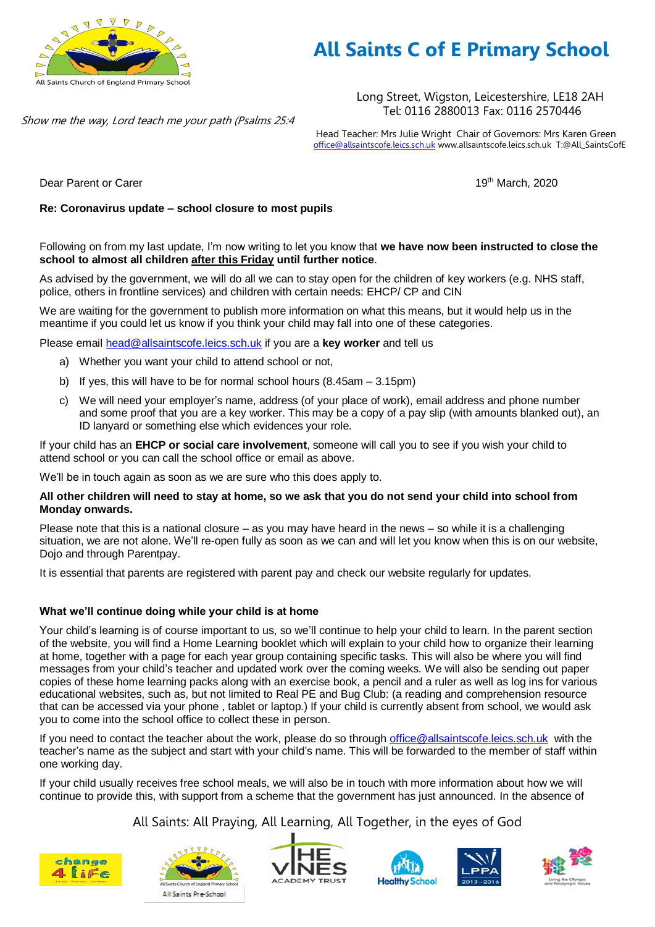

# **All Saints C of E Primary School**

Long Street, Wigston, Leicestershire, LE18 2AH Tel: 0116 2880013 Fax: 0116 2570446

Head Teacher: Mrs Julie Wright Chair of Governors: Mrs Karen Green [office@allsaintscofe.leics.sch.uk](mailto:office@allsaintscofe.leics.sch.uk) www.allsaintscofe.leics.sch.uk T:@All\_SaintsCofE

Dear Parent or Carer 19th March, 2020

### **Re: Coronavirus update – school closure to most pupils**

Show me the way, Lord teach me your path (Psalms 25:4

Following on from my last update, I'm now writing to let you know that **we have now been instructed to close the school to almost all children after this Friday until further notice**.

As advised by the government, we will do all we can to stay open for the children of key workers (e.g. NHS staff, police, others in frontline services) and children with certain needs: EHCP/ CP and CIN

We are waiting for the government to publish more information on what this means, but it would help us in the meantime if you could let us know if you think your child may fall into one of these categories.

Please email [head@allsaintscofe.leics.sch.uk](mailto:head@allsaintscofe.leics.sch.uk) if you are a **key worker** and tell us

- a) Whether you want your child to attend school or not,
- b) If yes, this will have to be for normal school hours (8.45am 3.15pm)
- c) We will need your employer's name, address (of your place of work), email address and phone number and some proof that you are a key worker. This may be a copy of a pay slip (with amounts blanked out), an ID lanyard or something else which evidences your role.

If your child has an **EHCP or social care involvement**, someone will call you to see if you wish your child to attend school or you can call the school office or email as above.

We'll be in touch again as soon as we are sure who this does apply to.

#### **All other children will need to stay at home, so we ask that you do not send your child into school from Monday onwards.**

Please note that this is a national closure – as you may have heard in the news – so while it is a challenging situation, we are not alone. We'll re-open fully as soon as we can and will let you know when this is on our website, Dojo and through Parentpay.

It is essential that parents are registered with parent pay and check our website regularly for updates.

### **What we'll continue doing while your child is at home**

Your child's learning is of course important to us, so we'll continue to help your child to learn. In the parent section of the website, you will find a Home Learning booklet which will explain to your child how to organize their learning at home, together with a page for each year group containing specific tasks. This will also be where you will find messages from your child's teacher and updated work over the coming weeks. We will also be sending out paper copies of these home learning packs along with an exercise book, a pencil and a ruler as well as log ins for various educational websites, such as, but not limited to Real PE and Bug Club: (a reading and comprehension resource that can be accessed via your phone , tablet or laptop.) If your child is currently absent from school, we would ask you to come into the school office to collect these in person.

If you need to contact the teacher about the work, please do so through [office@allsaintscofe.leics.sch.uk](mailto:office@allsaintscofe.leics.sch.uk) with the teacher's name as the subject and start with your child's name. This will be forwarded to the member of staff within one working day.

If your child usually receives free school meals, we will also be in touch with more information about how we will continue to provide this, with support from a scheme that the government has just announced. In the absence of

All Saints: All Praying, All Learning, All Together, in the eyes of God